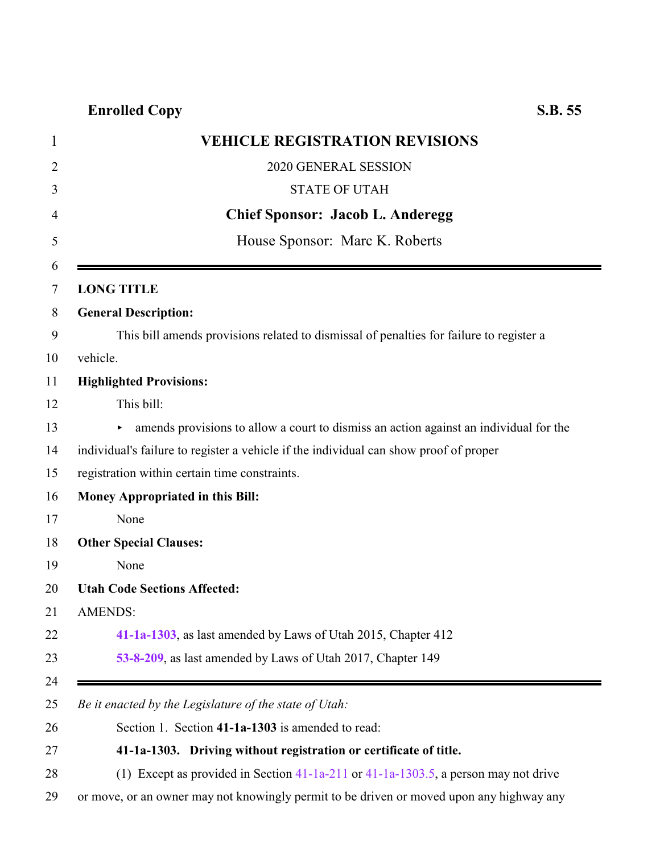## **Enrolled Copy S.B. 55**

<span id="page-0-0"></span>

| <b>VEHICLE REGISTRATION REVISIONS</b>                                                    |
|------------------------------------------------------------------------------------------|
| 2020 GENERAL SESSION                                                                     |
| <b>STATE OF UTAH</b>                                                                     |
| <b>Chief Sponsor: Jacob L. Anderegg</b>                                                  |
| House Sponsor: Marc K. Roberts                                                           |
| <b>LONG TITLE</b>                                                                        |
| <b>General Description:</b>                                                              |
| This bill amends provisions related to dismissal of penalties for failure to register a  |
| vehicle.                                                                                 |
| <b>Highlighted Provisions:</b>                                                           |
| This bill:                                                                               |
| amends provisions to allow a court to dismiss an action against an individual for the    |
| individual's failure to register a vehicle if the individual can show proof of proper    |
| registration within certain time constraints.                                            |
| Money Appropriated in this Bill:                                                         |
| None                                                                                     |
| <b>Other Special Clauses:</b>                                                            |
| None                                                                                     |
| <b>Utah Code Sections Affected:</b>                                                      |
| <b>AMENDS:</b>                                                                           |
| 41-1a-1303, as last amended by Laws of Utah 2015, Chapter 412                            |
| 53-8-209, as last amended by Laws of Utah 2017, Chapter 149                              |
|                                                                                          |
| Be it enacted by the Legislature of the state of Utah:                                   |
| Section 1. Section 41-1a-1303 is amended to read:                                        |
| 41-1a-1303. Driving without registration or certificate of title.                        |
| (1) Except as provided in Section 41-1a-211 or 41-1a-1303.5, a person may not drive      |
| or move, or an owner may not knowingly permit to be driven or moved upon any highway any |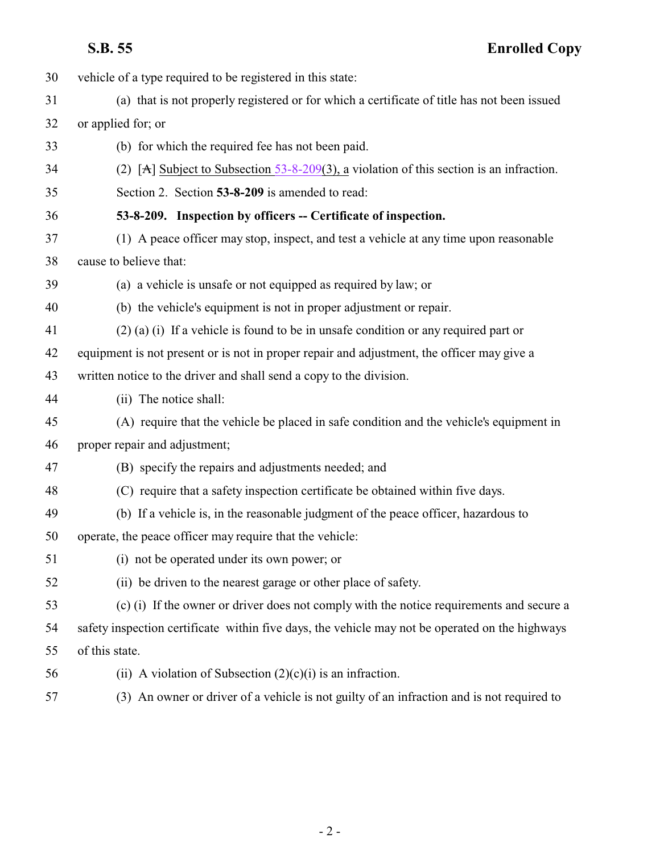<span id="page-1-0"></span>**S.B. 55 Enrolled Copy**

| 30 | vehicle of a type required to be registered in this state:                                      |
|----|-------------------------------------------------------------------------------------------------|
| 31 | (a) that is not properly registered or for which a certificate of title has not been issued     |
| 32 | or applied for; or                                                                              |
| 33 | (b) for which the required fee has not been paid.                                               |
| 34 | (2) [A] Subject to Subsection $53-8-209(3)$ , a violation of this section is an infraction.     |
| 35 | Section 2. Section 53-8-209 is amended to read:                                                 |
| 36 | 53-8-209. Inspection by officers -- Certificate of inspection.                                  |
| 37 | (1) A peace officer may stop, inspect, and test a vehicle at any time upon reasonable           |
| 38 | cause to believe that:                                                                          |
| 39 | (a) a vehicle is unsafe or not equipped as required by law; or                                  |
| 40 | (b) the vehicle's equipment is not in proper adjustment or repair.                              |
| 41 | $(2)$ (a) (i) If a vehicle is found to be in unsafe condition or any required part or           |
| 42 | equipment is not present or is not in proper repair and adjustment, the officer may give a      |
| 43 | written notice to the driver and shall send a copy to the division.                             |
| 44 | (ii) The notice shall:                                                                          |
| 45 | (A) require that the vehicle be placed in safe condition and the vehicle's equipment in         |
| 46 | proper repair and adjustment;                                                                   |
| 47 | (B) specify the repairs and adjustments needed; and                                             |
| 48 | (C) require that a safety inspection certificate be obtained within five days.                  |
| 49 | (b) If a vehicle is, in the reasonable judgment of the peace officer, hazardous to              |
| 50 | operate, the peace officer may require that the vehicle:                                        |
| 51 | (i) not be operated under its own power; or                                                     |
| 52 | (ii) be driven to the nearest garage or other place of safety.                                  |
| 53 | (c) (i) If the owner or driver does not comply with the notice requirements and secure a        |
| 54 | safety inspection certificate within five days, the vehicle may not be operated on the highways |
| 55 | of this state.                                                                                  |
| 56 | (ii) A violation of Subsection $(2)(c)(i)$ is an infraction.                                    |
| 57 | (3) An owner or driver of a vehicle is not guilty of an infraction and is not required to       |